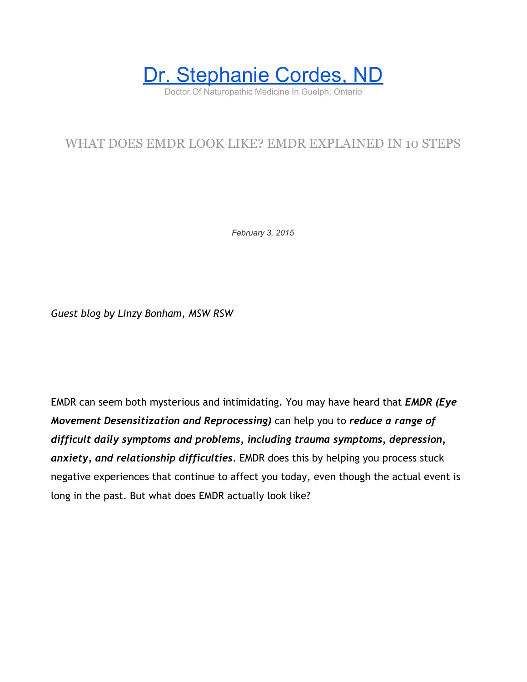

# WHAT DOES EMDR LOOK LIKE? EMDR EXPLAINED IN 10 STEPS

*February 3, 2015*

*Guest blog by Linzy Bonham, MSW RSW*

EMDR can seem both mysterious and intimidating. You may have heard that *EMDR (Eye Movement Desensitization and Reprocessing)* can help you to *reduce a range of difficult daily symptoms and problems, including trauma symptoms, depression, anxiety, and relationship difficulties*. EMDR does this by helping you process stuck negative experiences that continue to affect you today, even though the actual event is long in the past. But what does EMDR actually look like?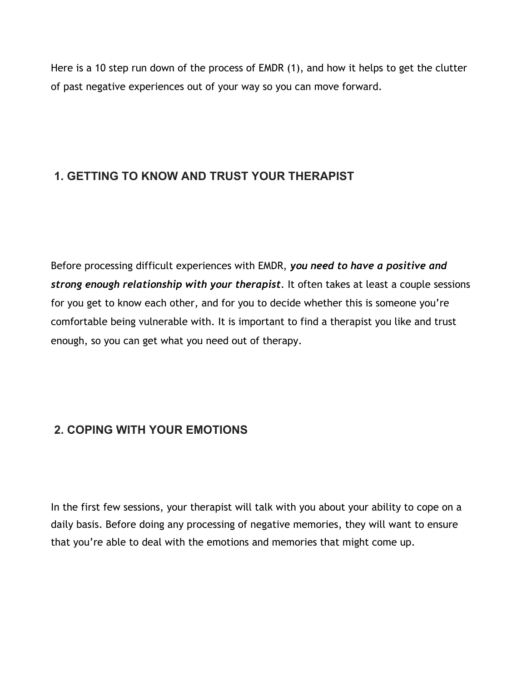Here is a 10 step run down of the process of EMDR (1), and how it helps to get the clutter of past negative experiences out of your way so you can move forward.

## **1. GETTING TO KNOW AND TRUST YOUR THERAPIST**

Before processing difficult experiences with EMDR, *you need to have a positive and strong enough relationship with your therapist*. It often takes at least a couple sessions for you get to know each other, and for you to decide whether this is someone you're comfortable being vulnerable with. It is important to find a therapist you like and trust enough, so you can get what you need out of therapy.

## **2. COPING WITH YOUR EMOTIONS**

In the first few sessions, your therapist will talk with you about your ability to cope on a daily basis. Before doing any processing of negative memories, they will want to ensure that you're able to deal with the emotions and memories that might come up.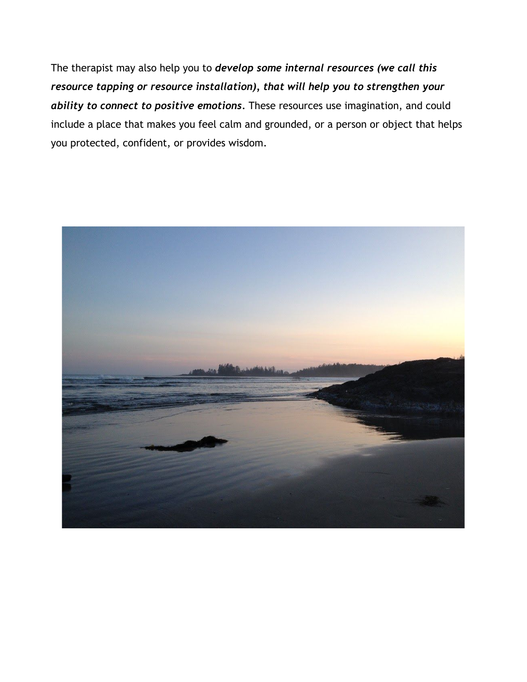The therapist may also help you to *develop some internal resources (we call this resource tapping or resource installation), that will help you to strengthen your ability to connect to positive emotions.* These resources use imagination, and could include a place that makes you feel calm and grounded, or a person or object that helps you protected, confident, or provides wisdom.

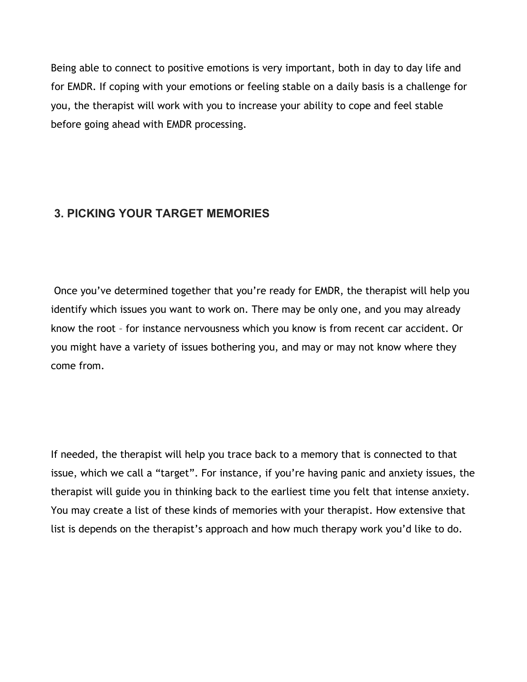Being able to connect to positive emotions is very important, both in day to day life and for EMDR. If coping with your emotions or feeling stable on a daily basis is a challenge for you, the therapist will work with you to increase your ability to cope and feel stable before going ahead with EMDR processing.

#### **3. PICKING YOUR TARGET MEMORIES**

 Once you've determined together that you're ready for EMDR, the therapist will help you identify which issues you want to work on. There may be only one, and you may already know the root – for instance nervousness which you know is from recent car accident. Or you might have a variety of issues bothering you, and may or may not know where they come from.

If needed, the therapist will help you trace back to a memory that is connected to that issue, which we call a "target". For instance, if you're having panic and anxiety issues, the therapist will guide you in thinking back to the earliest time you felt that intense anxiety. You may create a list of these kinds of memories with your therapist. How extensive that list is depends on the therapist's approach and how much therapy work you'd like to do.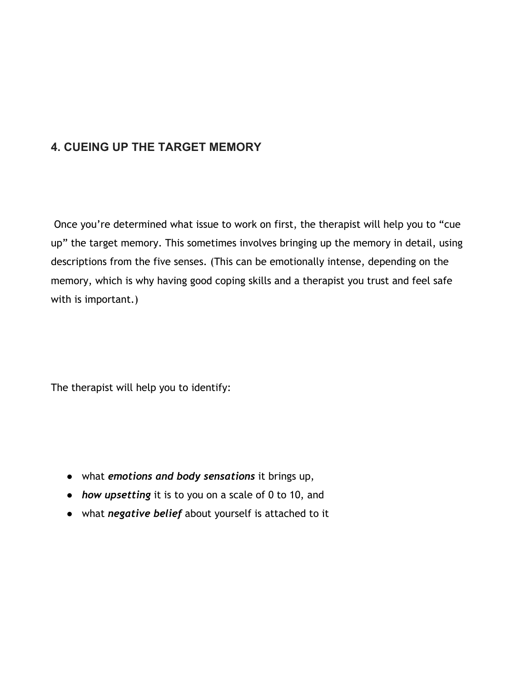#### **4. CUEING UP THE TARGET MEMORY**

 Once you're determined what issue to work on first, the therapist will help you to "cue up" the target memory. This sometimes involves bringing up the memory in detail, using descriptions from the five senses. (This can be emotionally intense, depending on the memory, which is why having good coping skills and a therapist you trust and feel safe with is important.)

The therapist will help you to identify:

- what *emotions and body sensations* it brings up,
- *how upsetting* it is to you on a scale of 0 to 10, and
- what *negative belief* about yourself is attached to it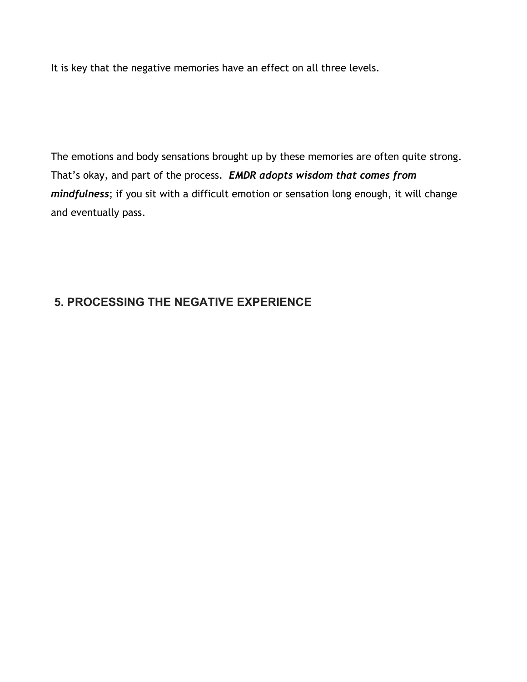It is key that the negative memories have an effect on all three levels.

The emotions and body sensations brought up by these memories are often quite strong. That's okay, and part of the process. *EMDR adopts wisdom that comes from mindfulness*; if you sit with a difficult emotion or sensation long enough, it will change and eventually pass.

## **5. PROCESSING THE NEGATIVE EXPERIENCE**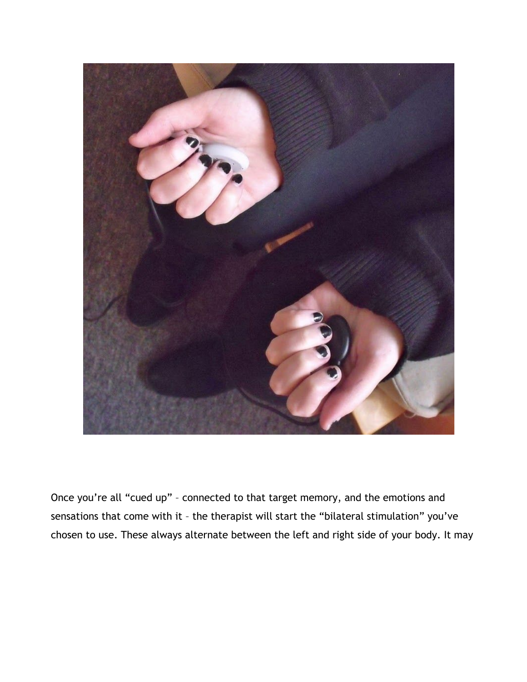

Once you're all "cued up" – connected to that target memory, and the emotions and sensations that come with it – the therapist will start the "bilateral stimulation" you've chosen to use. These always alternate between the left and right side of your body. It may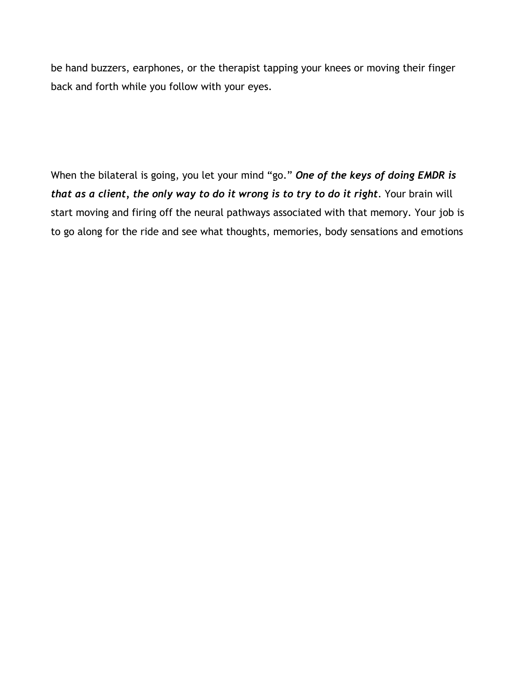be hand buzzers, earphones, or the therapist tapping your knees or moving their finger back and forth while you follow with your eyes.

When the bilateral is going, you let your mind "go." *One of the keys of doing EMDR is that as a client, the only way to do it wrong is to try to do it right*. Your brain will start moving and firing off the neural pathways associated with that memory. Your job is to go along for the ride and see what thoughts, memories, body sensations and emotions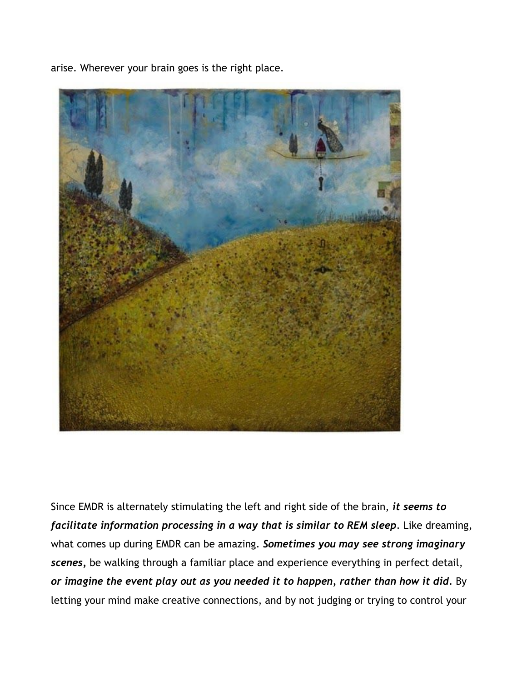

arise. Wherever your brain goes is the right place.

Since EMDR is alternately stimulating the left and right side of the brain, *it seems to facilitate information processing in a way that is similar to REM sleep*. Like dreaming, what comes up during EMDR can be amazing. *Sometimes you may see strong imaginary scenes,* be walking through a familiar place and experience everything in perfect detail, or imagine the event play out as you needed it to happen, rather than how it did. By letting your mind make creative connections, and by not judging or trying to control your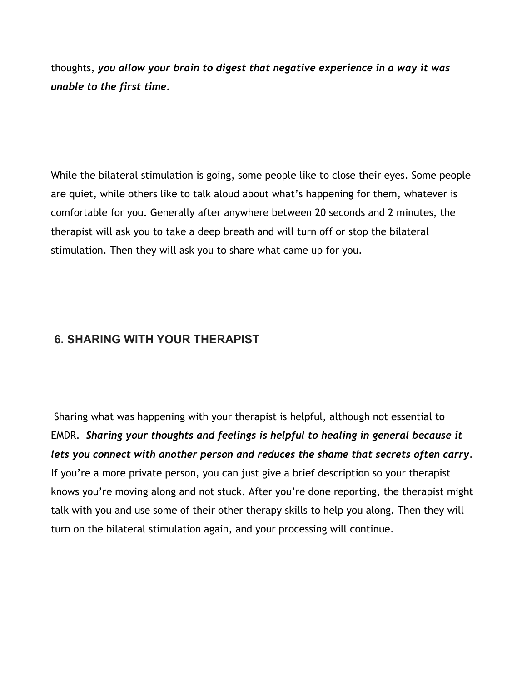thoughts, *you allow your brain to digest that negative experience in a way it was unable to the first time.*

While the bilateral stimulation is going, some people like to close their eyes. Some people are quiet, while others like to talk aloud about what's happening for them, whatever is comfortable for you. Generally after anywhere between 20 seconds and 2 minutes, the therapist will ask you to take a deep breath and will turn off or stop the bilateral stimulation. Then they will ask you to share what came up for you.

### **6. SHARING WITH YOUR THERAPIST**

 Sharing what was happening with your therapist is helpful, although not essential to EMDR. *Sharing your thoughts and feelings is helpful to healing in general because it lets you connect with another person and reduces the shame that secrets often carry*. If you're a more private person, you can just give a brief description so your therapist knows you're moving along and not stuck. After you're done reporting, the therapist might talk with you and use some of their other therapy skills to help you along. Then they will turn on the bilateral stimulation again, and your processing will continue.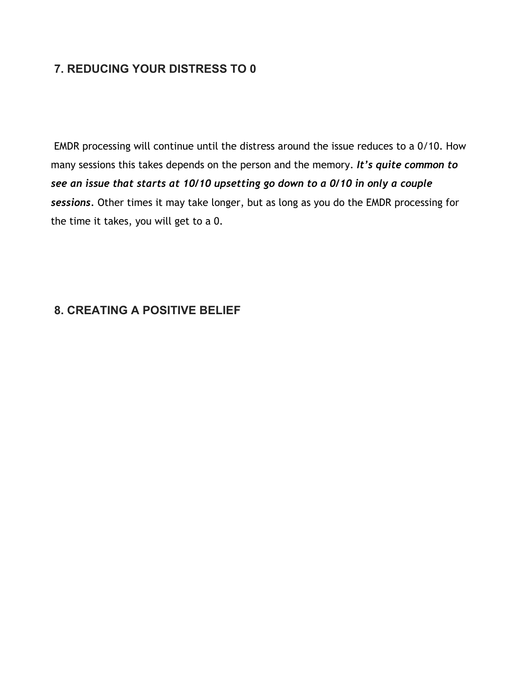#### **7. REDUCING YOUR DISTRESS TO 0**

 EMDR processing will continue until the distress around the issue reduces to a 0/10. How many sessions this takes depends on the person and the memory. *It's quite common to see an issue that starts at 10/10 upsetting go down to a 0/10 in only a couple sessions.* Other times it may take longer, but as long as you do the EMDR processing for the time it takes, you will get to a 0.

#### **8. CREATING A POSITIVE BELIEF**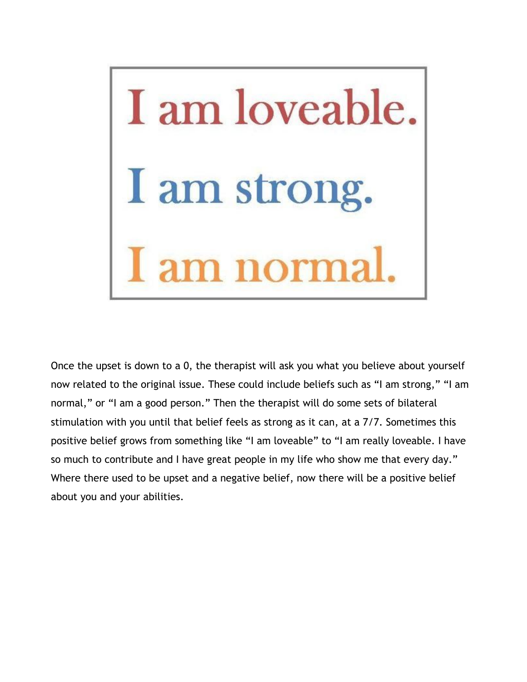

Once the upset is down to a 0, the therapist will ask you what you believe about yourself now related to the original issue. These could include beliefs such as "I am strong," "I am normal," or "I am a good person." Then the therapist will do some sets of bilateral stimulation with you until that belief feels as strong as it can, at a 7/7. Sometimes this positive belief grows from something like "I am loveable" to "I am really loveable. I have so much to contribute and I have great people in my life who show me that every day." Where there used to be upset and a negative belief, now there will be a positive belief about you and your abilities.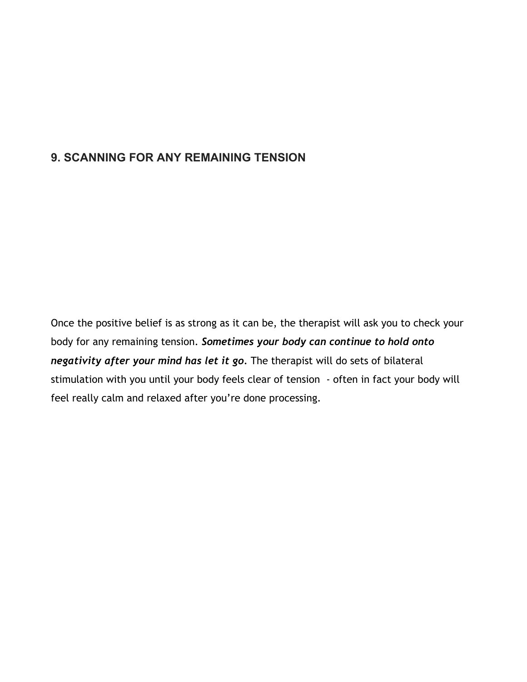#### **9. SCANNING FOR ANY REMAINING TENSION**

Once the positive belief is as strong as it can be, the therapist will ask you to check your body for any remaining tension. *Sometimes your body can continue to hold onto negativity after your mind has let it go.* The therapist will do sets of bilateral stimulation with you until your body feels clear of tension - often in fact your body will feel really calm and relaxed after you're done processing.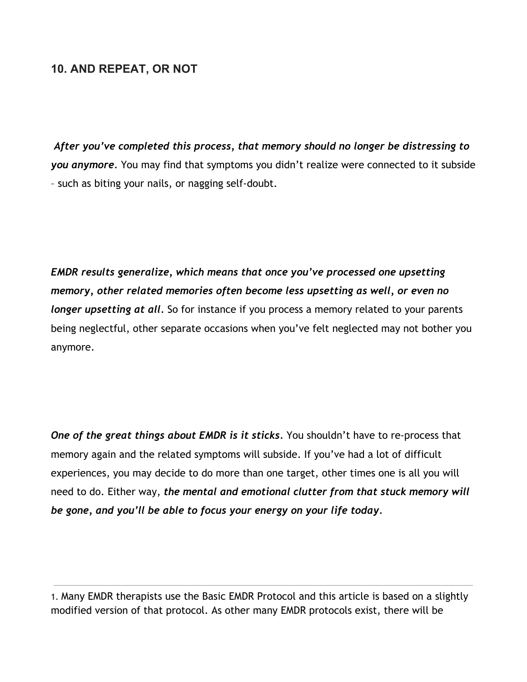#### **10. AND REPEAT, OR NOT**

*After you've completed this process, that memory should no longer be distressing to you anymore.* You may find that symptoms you didn't realize were connected to it subside – such as biting your nails, or nagging self-doubt.

*EMDR results generalize, which means that once you've processed one upsetting memory, other related memories often become less upsetting as well, or even no longer upsetting at all.* So for instance if you process a memory related to your parents being neglectful, other separate occasions when you've felt neglected may not bother you anymore.

*One of the great things about EMDR is it sticks.* You shouldn't have to re-process that memory again and the related symptoms will subside. If you've had a lot of difficult experiences, you may decide to do more than one target, other times one is all you will need to do. Either way, *the mental and emotional clutter from that stuck memory will be gone, and you'll be able to focus your energy on your life today.*

1. Many EMDR therapists use the Basic EMDR Protocol and this article is based on a slightly modified version of that protocol. As other many EMDR protocols exist, there will be